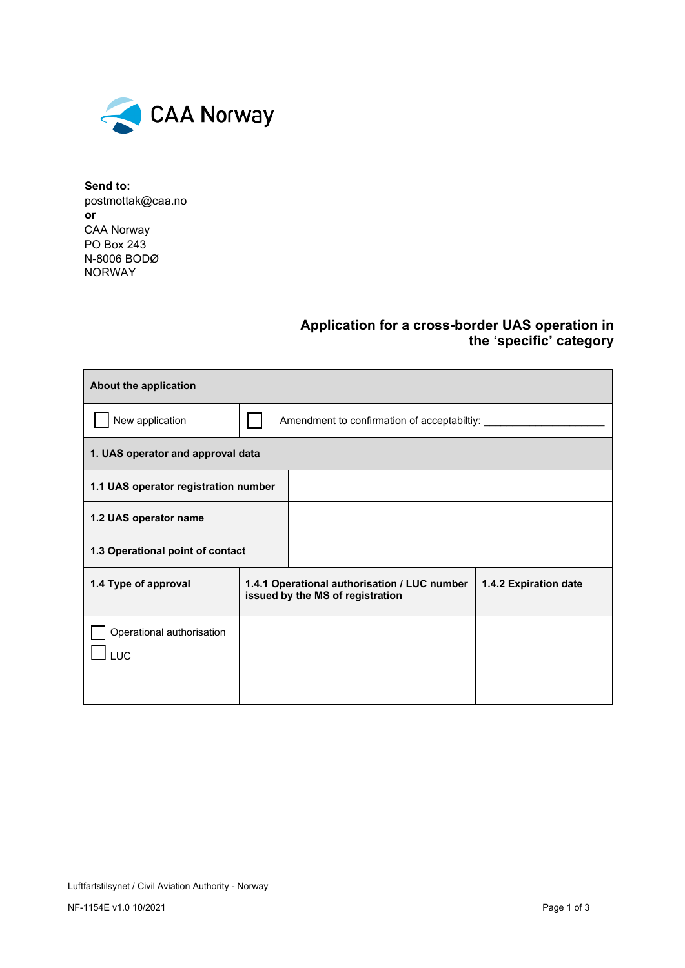

**Send to:**  [postmottak@caa.no](mailto:postmottak@caa.no) **or** CAA Norway PO Box 243 N-8006 BODØ NORWAY

## **Application for a cross-border UAS operation in the 'specific' category**

| About the application                   |                                                                                  |  |                       |  |  |  |
|-----------------------------------------|----------------------------------------------------------------------------------|--|-----------------------|--|--|--|
| New application                         | Amendment to confirmation of acceptabiltiy:                                      |  |                       |  |  |  |
| 1. UAS operator and approval data       |                                                                                  |  |                       |  |  |  |
| 1.1 UAS operator registration number    |                                                                                  |  |                       |  |  |  |
| 1.2 UAS operator name                   |                                                                                  |  |                       |  |  |  |
| 1.3 Operational point of contact        |                                                                                  |  |                       |  |  |  |
| 1.4 Type of approval                    | 1.4.1 Operational authorisation / LUC number<br>issued by the MS of registration |  | 1.4.2 Expiration date |  |  |  |
| Operational authorisation<br><b>LUC</b> |                                                                                  |  |                       |  |  |  |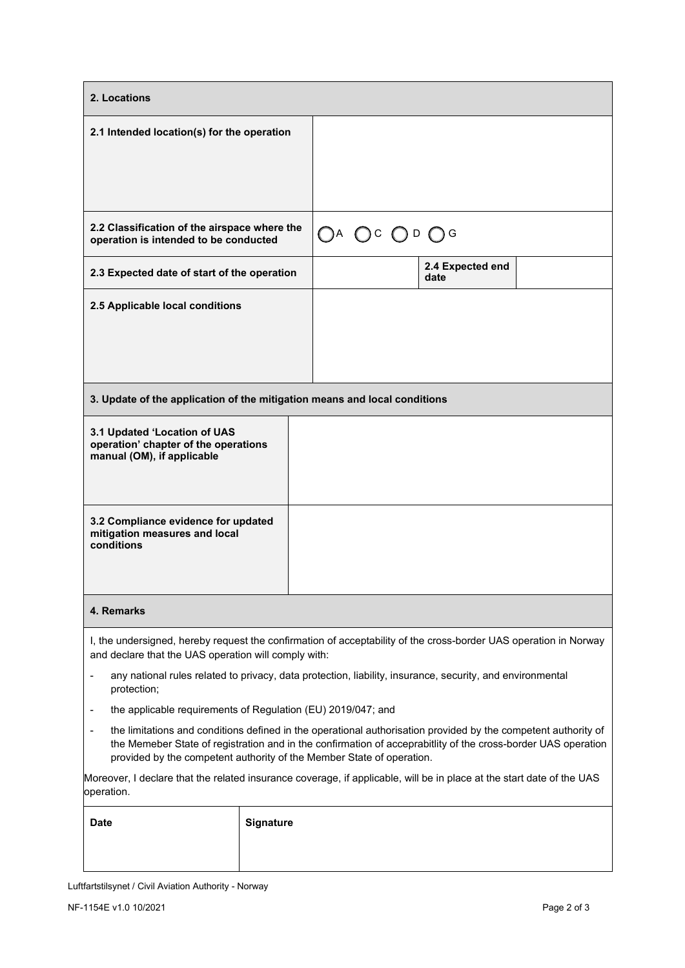| 2. Locations                                                                                                                                                                                                                                                                                             |           |                                                     |                          |  |  |  |  |
|----------------------------------------------------------------------------------------------------------------------------------------------------------------------------------------------------------------------------------------------------------------------------------------------------------|-----------|-----------------------------------------------------|--------------------------|--|--|--|--|
| 2.1 Intended location(s) for the operation                                                                                                                                                                                                                                                               |           |                                                     |                          |  |  |  |  |
|                                                                                                                                                                                                                                                                                                          |           |                                                     |                          |  |  |  |  |
| 2.2 Classification of the airspace where the<br>operation is intended to be conducted                                                                                                                                                                                                                    |           | $\bigcirc$ A $\bigcirc$ c $\bigcirc$ d $\bigcirc$ g |                          |  |  |  |  |
| 2.3 Expected date of start of the operation                                                                                                                                                                                                                                                              |           |                                                     | 2.4 Expected end<br>date |  |  |  |  |
| 2.5 Applicable local conditions                                                                                                                                                                                                                                                                          |           |                                                     |                          |  |  |  |  |
| 3. Update of the application of the mitigation means and local conditions                                                                                                                                                                                                                                |           |                                                     |                          |  |  |  |  |
| 3.1 Updated 'Location of UAS<br>operation' chapter of the operations<br>manual (OM), if applicable                                                                                                                                                                                                       |           |                                                     |                          |  |  |  |  |
| 3.2 Compliance evidence for updated<br>mitigation measures and local<br>conditions                                                                                                                                                                                                                       |           |                                                     |                          |  |  |  |  |
| 4. Remarks                                                                                                                                                                                                                                                                                               |           |                                                     |                          |  |  |  |  |
| I, the undersigned, hereby request the confirmation of acceptability of the cross-border UAS operation in Norway<br>and declare that the UAS operation will comply with:                                                                                                                                 |           |                                                     |                          |  |  |  |  |
| any national rules related to privacy, data protection, liability, insurance, security, and environmental<br>$\qquad \qquad \blacksquare$<br>protection;                                                                                                                                                 |           |                                                     |                          |  |  |  |  |
| the applicable requirements of Regulation (EU) 2019/047; and                                                                                                                                                                                                                                             |           |                                                     |                          |  |  |  |  |
| the limitations and conditions defined in the operational authorisation provided by the competent authority of<br>the Memeber State of registration and in the confirmation of acceprabitlity of the cross-border UAS operation<br>provided by the competent authority of the Member State of operation. |           |                                                     |                          |  |  |  |  |
| Moreover, I declare that the related insurance coverage, if applicable, will be in place at the start date of the UAS<br>operation.                                                                                                                                                                      |           |                                                     |                          |  |  |  |  |
| <b>Date</b>                                                                                                                                                                                                                                                                                              | Signature |                                                     |                          |  |  |  |  |

Luftfartstilsynet / Civil Aviation Authority - Norway